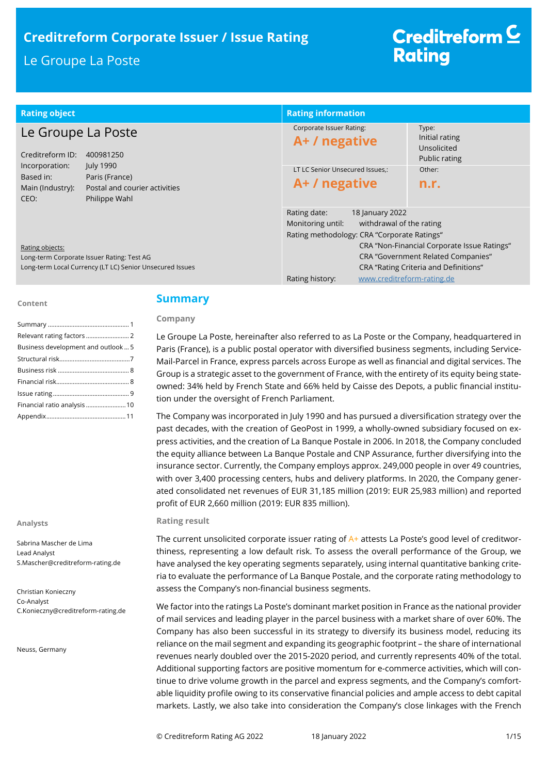## **Creditreform Corporate Issuer / Issue Rating**

## Le Groupe La Poste

# Creditreform<sup>C</sup> **Rating**

| <b>Rating object</b>                                     |                                                                               | <b>Rating information</b>                                                                                                       |                                                                     |
|----------------------------------------------------------|-------------------------------------------------------------------------------|---------------------------------------------------------------------------------------------------------------------------------|---------------------------------------------------------------------|
| Le Groupe La Poste<br>Creditreform ID:<br>400981250      |                                                                               | Corporate Issuer Rating:<br>A+ / negative                                                                                       | Type:<br>Initial rating<br>Unsolicited<br>Public rating             |
| Incorporation:<br>Based in:<br>Main (Industry):<br>CEO:  | July 1990<br>Paris (France)<br>Postal and courier activities<br>Philippe Wahl | LT LC Senior Unsecured Issues.:<br>A+ / negative                                                                                | Other:<br>n.r.                                                      |
| Rating objects:                                          |                                                                               | Rating date:<br>18 January 2022<br>Monitoring until:<br>withdrawal of the rating<br>Rating methodology: CRA "Corporate Ratings" | CRA "Non-Financial Corporate Issue Ratings"                         |
| Long-term Corporate Issuer Rating: Test AG               |                                                                               |                                                                                                                                 | <b>CRA "Government Related Companies"</b>                           |
| Long-term Local Currency (LT LC) Senior Unsecured Issues |                                                                               | Rating history:                                                                                                                 | CRA "Rating Criteria and Definitions"<br>www.creditreform-rating.de |

#### **Content**

| Business development and outlook 5 |
|------------------------------------|
|                                    |
|                                    |
|                                    |
|                                    |
|                                    |
|                                    |

#### **Analysts**

Sabrina Mascher de Lima Lead Analyst S.Mascher@creditreform-rating.de

Christian Konieczny Co-Analyst C.Konieczny@creditreform-rating.de

Neuss, Germany

## **Summary**

#### **Company**

Le Groupe La Poste, hereinafter also referred to as La Poste or the Company, headquartered in Paris (France), is a public postal operator with diversified business segments, including Service-Mail-Parcel in France, express parcels across Europe as well as financial and digital services. The Group is a strategic asset to the government of France, with the entirety of its equity being stateowned: 34% held by French State and 66% held by Caisse des Depots, a public financial institution under the oversight of French Parliament.

The Company was incorporated in July 1990 and has pursued a diversification strategy over the past decades, with the creation of GeoPost in 1999, a wholly-owned subsidiary focused on express activities, and the creation of La Banque Postale in 2006. In 2018, the Company concluded the equity alliance between La Banque Postale and CNP Assurance, further diversifying into the insurance sector. Currently, the Company employs approx. 249,000 people in over 49 countries, with over 3,400 processing centers, hubs and delivery platforms. In 2020, the Company generated consolidated net revenues of EUR 31,185 million (2019: EUR 25,983 million) and reported profit of EUR 2,660 million (2019: EUR 835 million).

#### **Rating result**

The current unsolicited corporate issuer rating of  $A<sup>+</sup>$  attests La Poste's good level of creditworthiness, representing a low default risk. To assess the overall performance of the Group, we have analysed the key operating segments separately, using internal quantitative banking criteria to evaluate the performance of La Banque Postale, and the corporate rating methodology to assess the Company's non-financial business segments.

We factor into the ratings La Poste's dominant market position in France as the national provider of mail services and leading player in the parcel business with a market share of over 60%. The Company has also been successful in its strategy to diversify its business model, reducing its reliance on the mail segment and expanding its geographic footprint – the share of international revenues nearly doubled over the 2015-2020 period, and currently represents 40% of the total. Additional supporting factors are positive momentum for e-commerce activities, which will continue to drive volume growth in the parcel and express segments, and the Company's comfortable liquidity profile owing to its conservative financial policies and ample access to debt capital markets. Lastly, we also take into consideration the Company's close linkages with the French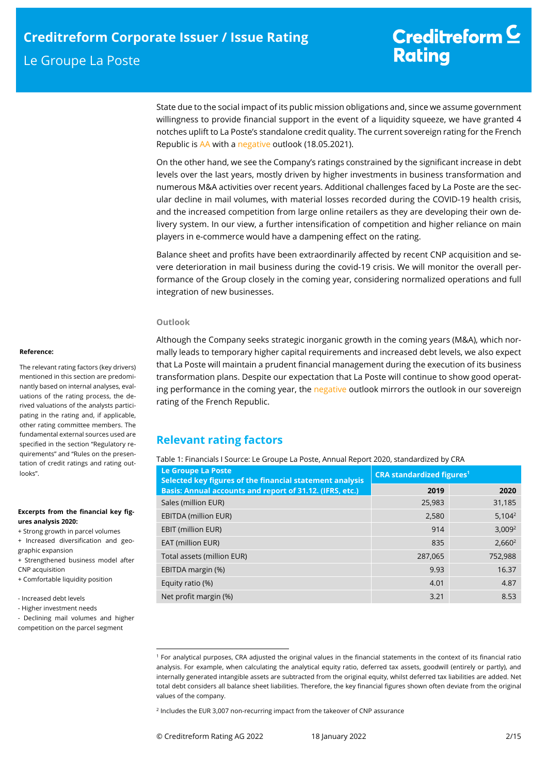State due to the social impact of its public mission obligations and, since we assume government willingness to provide financial support in the event of a liquidity squeeze, we have granted 4 notches uplift to La Poste's standalone credit quality. The current sovereign rating for the French Republic is AA with a negative outlook (18.05.2021).

On the other hand, we see the Company's ratings constrained by the significant increase in debt levels over the last years, mostly driven by higher investments in business transformation and numerous M&A activities over recent years. Additional challenges faced by La Poste are the secular decline in mail volumes, with material losses recorded during the COVID-19 health crisis, and the increased competition from large online retailers as they are developing their own delivery system. In our view, a further intensification of competition and higher reliance on main players in e-commerce would have a dampening effect on the rating.

Balance sheet and profits have been extraordinarily affected by recent CNP acquisition and severe deterioration in mail business during the covid-19 crisis. We will monitor the overall performance of the Group closely in the coming year, considering normalized operations and full integration of new businesses.

## **Outlook**

Although the Company seeks strategic inorganic growth in the coming years (M&A), which normally leads to temporary higher capital requirements and increased debt levels, we also expect that La Poste will maintain a prudent financial management during the execution of its business transformation plans. Despite our expectation that La Poste will continue to show good operating performance in the coming year, the negative outlook mirrors the outlook in our sovereign rating of the French Republic.

## **Relevant rating factors**

Table 1: Financials I Source: Le Groupe La Poste, Annual Report 2020, standardized by CRA

| Le Groupe La Poste<br>Selected key figures of the financial statement analysis | <b>CRA standardized figures<sup>1</sup></b> |                    |  |
|--------------------------------------------------------------------------------|---------------------------------------------|--------------------|--|
| Basis: Annual accounts and report of 31.12. (IFRS, etc.)                       | 2019                                        | 2020               |  |
| Sales (million EUR)                                                            | 25,983                                      | 31,185             |  |
| <b>EBITDA (million EUR)</b>                                                    | 2,580                                       | $5,104^2$          |  |
| <b>EBIT (million EUR)</b>                                                      | 914                                         | 3,009 <sup>2</sup> |  |
| EAT (million EUR)                                                              | 835                                         | $2,660^2$          |  |
| Total assets (million EUR)                                                     | 287.065                                     | 752,988            |  |
| EBITDA margin (%)                                                              | 9.93                                        | 16.37              |  |
| Equity ratio (%)                                                               | 4.01                                        | 4.87               |  |
| Net profit margin (%)                                                          | 3.21                                        | 8.53               |  |

j

#### **Reference:**

The relevant rating factors (key drivers) mentioned in this section are predominantly based on internal analyses, evaluations of the rating process, the derived valuations of the analysts participating in the rating and, if applicable, other rating committee members. The fundamental external sources used are specified in the section "Regulatory requirements" and "Rules on the presentation of credit ratings and rating outlooks".

#### **Excerpts from the financial key figures analysis 2020:**

+ Strong growth in parcel volumes

+ Increased diversification and geo-

graphic expansion + Strengthened business model after CNP acquisition

+ Comfortable liquidity position

- Increased debt levels
- Higher investment needs
- Declining mail volumes and higher
- competition on the parcel segment

<sup>1</sup> For analytical purposes, CRA adjusted the original values in the financial statements in the context of its financial ratio analysis. For example, when calculating the analytical equity ratio, deferred tax assets, goodwill (entirely or partly), and internally generated intangible assets are subtracted from the original equity, whilst deferred tax liabilities are added. Net total debt considers all balance sheet liabilities. Therefore, the key financial figures shown often deviate from the original values of the company.

<sup>2</sup> Includes the EUR 3,007 non-recurring impact from the takeover of CNP assurance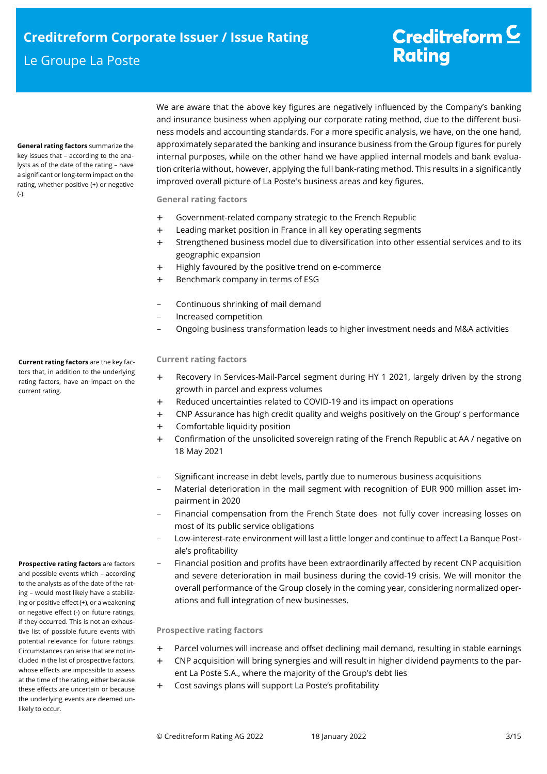**General rating factors** summarize the key issues that – according to the analysts as of the date of the rating – have a significant or long-term impact on the rating, whether positive (+) or negative (-).

We are aware that the above key figures are negatively influenced by the Company's banking and insurance business when applying our corporate rating method, due to the different business models and accounting standards. For a more specific analysis, we have, on the one hand, approximately separated the banking and insurance business from the Group figures for purely internal purposes, while on the other hand we have applied internal models and bank evaluation criteria without, however, applying the full bank-rating method. This results in a significantly improved overall picture of La Poste's business areas and key figures.

## **General rating factors**

- + Government-related company strategic to the French Republic
- + Leading market position in France in all key operating segments
- + Strengthened business model due to diversification into other essential services and to its geographic expansion
- + Highly favoured by the positive trend on e-commerce
- + Benchmark company in terms of ESG
- Continuous shrinking of mail demand
- Increased competition
- Ongoing business transformation leads to higher investment needs and M&A activities

## **Current rating factors**

- + Recovery in Services-Mail-Parcel segment during HY 1 2021, largely driven by the strong growth in parcel and express volumes
- + Reduced uncertainties related to COVID-19 and its impact on operations
- + CNP Assurance has high credit quality and weighs positively on the Group' s performance
- + Comfortable liquidity position
- + Confirmation of the unsolicited sovereign rating of the French Republic at AA / negative on 18 May 2021
- Significant increase in debt levels, partly due to numerous business acquisitions
- Material deterioration in the mail segment with recognition of EUR 900 million asset impairment in 2020
- Financial compensation from the French State does not fully cover increasing losses on most of its public service obligations
- Low-interest-rate environment will last a little longer and continue to affect La Banque Postale's profitability
- Financial position and profits have been extraordinarily affected by recent CNP acquisition and severe deterioration in mail business during the covid-19 crisis. We will monitor the overall performance of the Group closely in the coming year, considering normalized operations and full integration of new businesses.

## **Prospective rating factors**

- + Parcel volumes will increase and offset declining mail demand, resulting in stable earnings
- + CNP acquisition will bring synergies and will result in higher dividend payments to the parent La Poste S.A., where the majority of the Group's debt lies
- + Cost savings plans will support La Poste's profitability

**Current rating factors** are the key factors that, in addition to the underlying rating factors, have an impact on the current rating.

**Prospective rating factors** are factors and possible events which – according to the analysts as of the date of the rating – would most likely have a stabilizing or positive effect (+), or a weakening or negative effect (-) on future ratings, if they occurred. This is not an exhaustive list of possible future events with potential relevance for future ratings. Circumstances can arise that are not included in the list of prospective factors, whose effects are impossible to assess at the time of the rating, either because these effects are uncertain or because the underlying events are deemed unlikely to occur.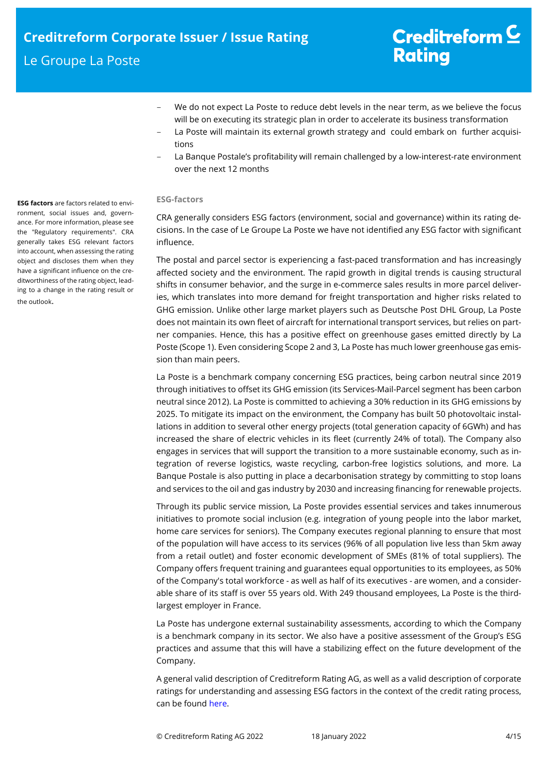- We do not expect La Poste to reduce debt levels in the near term, as we believe the focus will be on executing its strategic plan in order to accelerate its business transformation
- La Poste will maintain its external growth strategy and could embark on further acquisitions
- La Banque Postale's profitability will remain challenged by a low-interest-rate environment over the next 12 months

## **ESG-factors**

CRA generally considers ESG factors (environment, social and governance) within its rating decisions. In the case of Le Groupe La Poste we have not identified any ESG factor with significant influence.

The postal and parcel sector is experiencing a fast-paced transformation and has increasingly affected society and the environment. The rapid growth in digital trends is causing structural shifts in consumer behavior, and the surge in e-commerce sales results in more parcel deliveries, which translates into more demand for freight transportation and higher risks related to GHG emission. Unlike other large market players such as Deutsche Post DHL Group, La Poste does not maintain its own fleet of aircraft for international transport services, but relies on partner companies. Hence, this has a positive effect on greenhouse gases emitted directly by La Poste (Scope 1). Even considering Scope 2 and 3, La Poste has much lower greenhouse gas emission than main peers.

La Poste is a benchmark company concerning ESG practices, being carbon neutral since 2019 through initiatives to offset its GHG emission (its Services-Mail-Parcel segment has been carbon neutral since 2012). La Poste is committed to achieving a 30% reduction in its GHG emissions by 2025. To mitigate its impact on the environment, the Company has built 50 photovoltaic installations in addition to several other energy projects (total generation capacity of 6GWh) and has increased the share of electric vehicles in its fleet (currently 24% of total). The Company also engages in services that will support the transition to a more sustainable economy, such as integration of reverse logistics, waste recycling, carbon-free logistics solutions, and more. La Banque Postale is also putting in place a decarbonisation strategy by committing to stop loans and services to the oil and gas industry by 2030 and increasing financing for renewable projects.

Through its public service mission, La Poste provides essential services and takes innumerous initiatives to promote social inclusion (e.g. integration of young people into the labor market, home care services for seniors). The Company executes regional planning to ensure that most of the population will have access to its services (96% of all population live less than 5km away from a retail outlet) and foster economic development of SMEs (81% of total suppliers). The Company offers frequent training and guarantees equal opportunities to its employees, as 50% of the Company's total workforce - as well as half of its executives - are women, and a considerable share of its staff is over 55 years old. With 249 thousand employees, La Poste is the thirdlargest employer in France.

La Poste has undergone external sustainability assessments, according to which the Company is a benchmark company in its sector. We also have a positive assessment of the Group's ESG practices and assume that this will have a stabilizing effect on the future development of the Company.

A general valid description of Creditreform Rating AG, as well as a valid description of corporate ratings for understanding and assessing ESG factors in the context of the credit rating process, can be found here.

**ESG factors** are factors related to environment, social issues and, governance. For more information, please see the "Regulatory requirements". CRA generally takes ESG relevant factors into account, when assessing the rating object and discloses them when they have a significant influence on the creditworthiness of the rating object, leading to a change in the rating result or the outlook.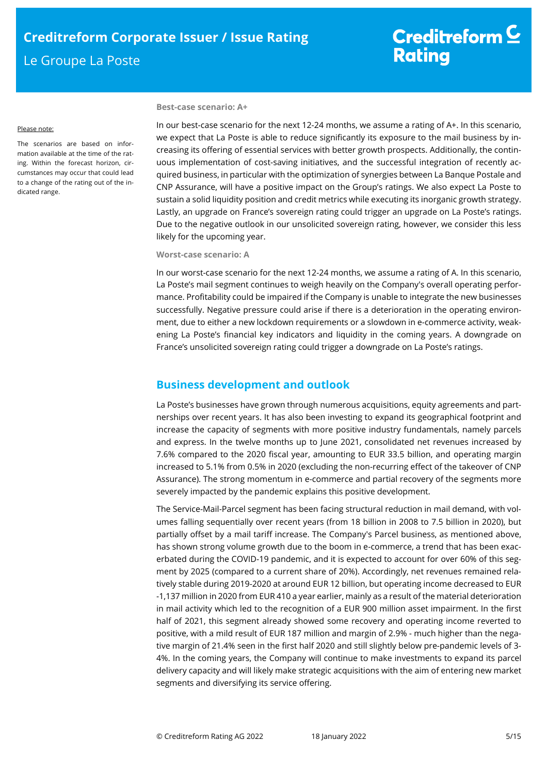Please note:

The scenarios are based on information available at the time of the rating. Within the forecast horizon, circumstances may occur that could lead to a change of the rating out of the indicated range.

### **Best-case scenario: A+**

In our best-case scenario for the next 12-24 months, we assume a rating of A+. In this scenario, we expect that La Poste is able to reduce significantly its exposure to the mail business by increasing its offering of essential services with better growth prospects. Additionally, the continuous implementation of cost-saving initiatives, and the successful integration of recently acquired business, in particular with the optimization of synergies between La Banque Postale and CNP Assurance, will have a positive impact on the Group's ratings. We also expect La Poste to sustain a solid liquidity position and credit metrics while executing its inorganic growth strategy. Lastly, an upgrade on France's sovereign rating could trigger an upgrade on La Poste's ratings. Due to the negative outlook in our unsolicited sovereign rating, however, we consider this less likely for the upcoming year.

## **Worst-case scenario: A**

In our worst-case scenario for the next 12-24 months, we assume a rating of A. In this scenario, La Poste's mail segment continues to weigh heavily on the Company's overall operating performance. Profitability could be impaired if the Company is unable to integrate the new businesses successfully. Negative pressure could arise if there is a deterioration in the operating environment, due to either a new lockdown requirements or a slowdown in e-commerce activity, weakening La Poste's financial key indicators and liquidity in the coming years. A downgrade on France's unsolicited sovereign rating could trigger a downgrade on La Poste's ratings.

## **Business development and outlook**

La Poste's businesses have grown through numerous acquisitions, equity agreements and partnerships over recent years. It has also been investing to expand its geographical footprint and increase the capacity of segments with more positive industry fundamentals, namely parcels and express. In the twelve months up to June 2021, consolidated net revenues increased by 7.6% compared to the 2020 fiscal year, amounting to EUR 33.5 billion, and operating margin increased to 5.1% from 0.5% in 2020 (excluding the non-recurring effect of the takeover of CNP Assurance). The strong momentum in e-commerce and partial recovery of the segments more severely impacted by the pandemic explains this positive development.

The Service-Mail-Parcel segment has been facing structural reduction in mail demand, with volumes falling sequentially over recent years (from 18 billion in 2008 to 7.5 billion in 2020), but partially offset by a mail tariff increase. The Company's Parcel business, as mentioned above, has shown strong volume growth due to the boom in e-commerce, a trend that has been exacerbated during the COVID-19 pandemic, and it is expected to account for over 60% of this segment by 2025 (compared to a current share of 20%). Accordingly, net revenues remained relatively stable during 2019-2020 at around EUR 12 billion, but operating income decreased to EUR -1,137 million in 2020 from EUR 410 a year earlier, mainly as a result of the material deterioration in mail activity which led to the recognition of a EUR 900 million asset impairment. In the first half of 2021, this segment already showed some recovery and operating income reverted to positive, with a mild result of EUR 187 million and margin of 2.9% - much higher than the negative margin of 21.4% seen in the first half 2020 and still slightly below pre-pandemic levels of 3- 4%. In the coming years, the Company will continue to make investments to expand its parcel delivery capacity and will likely make strategic acquisitions with the aim of entering new market segments and diversifying its service offering.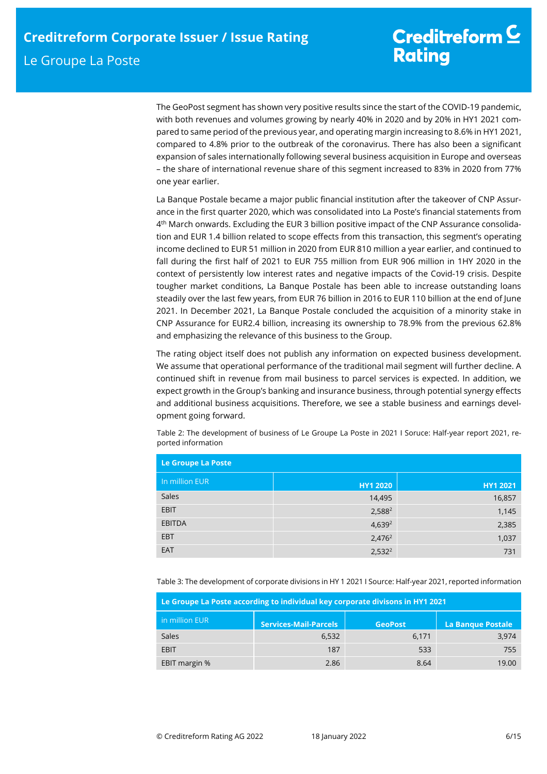The GeoPost segment has shown very positive results since the start of the COVID-19 pandemic, with both revenues and volumes growing by nearly 40% in 2020 and by 20% in HY1 2021 compared to same period of the previous year, and operating margin increasing to 8.6% in HY1 2021, compared to 4.8% prior to the outbreak of the coronavirus. There has also been a significant expansion of sales internationally following several business acquisition in Europe and overseas – the share of international revenue share of this segment increased to 83% in 2020 from 77% one year earlier.

La Banque Postale became a major public financial institution after the takeover of CNP Assurance in the first quarter 2020, which was consolidated into La Poste's financial statements from 4 th March onwards. Excluding the EUR 3 billion positive impact of the CNP Assurance consolidation and EUR 1.4 billion related to scope effects from this transaction, this segment's operating income declined to EUR 51 million in 2020 from EUR 810 million a year earlier, and continued to fall during the first half of 2021 to EUR 755 million from EUR 906 million in 1HY 2020 in the context of persistently low interest rates and negative impacts of the Covid-19 crisis. Despite tougher market conditions, La Banque Postale has been able to increase outstanding loans steadily over the last few years, from EUR 76 billion in 2016 to EUR 110 billion at the end of June 2021. In December 2021, La Banque Postale concluded the acquisition of a minority stake in CNP Assurance for EUR2.4 billion, increasing its ownership to 78.9% from the previous 62.8% and emphasizing the relevance of this business to the Group.

The rating object itself does not publish any information on expected business development. We assume that operational performance of the traditional mail segment will further decline. A continued shift in revenue from mail business to parcel services is expected. In addition, we expect growth in the Group's banking and insurance business, through potential synergy effects and additional business acquisitions. Therefore, we see a stable business and earnings development going forward.

| Le Groupe La Poste |                 |          |  |
|--------------------|-----------------|----------|--|
| In million EUR     | <b>HY1 2020</b> | HY1 2021 |  |
| Sales              | 14,495          | 16,857   |  |
| EBIT               | $2,588^2$       | 1,145    |  |
| <b>EBITDA</b>      | $4,639^2$       | 2,385    |  |
| <b>EBT</b>         | $2,476^2$       | 1,037    |  |
| EAT                | $2,532^2$       | 731      |  |

Table 2: The development of business of Le Groupe La Poste in 2021 I Soruce: Half-year report 2021, reported information

Table 3: The development of corporate divisions in HY 1 2021 I Source: Half-year 2021, reported information

| Le Groupe La Poste according to individual key corporate divisons in HY1 2021 |                              |                |                          |  |
|-------------------------------------------------------------------------------|------------------------------|----------------|--------------------------|--|
| in million EUR                                                                | <b>Services-Mail-Parcels</b> | <b>GeoPost</b> | <b>La Banque Postale</b> |  |
| Sales                                                                         | 6.532                        | 6.171          | 3,974                    |  |
| EBIT                                                                          | 187                          | 533            | 755                      |  |
| EBIT margin %                                                                 | 2.86                         | 8.64           | 19.00                    |  |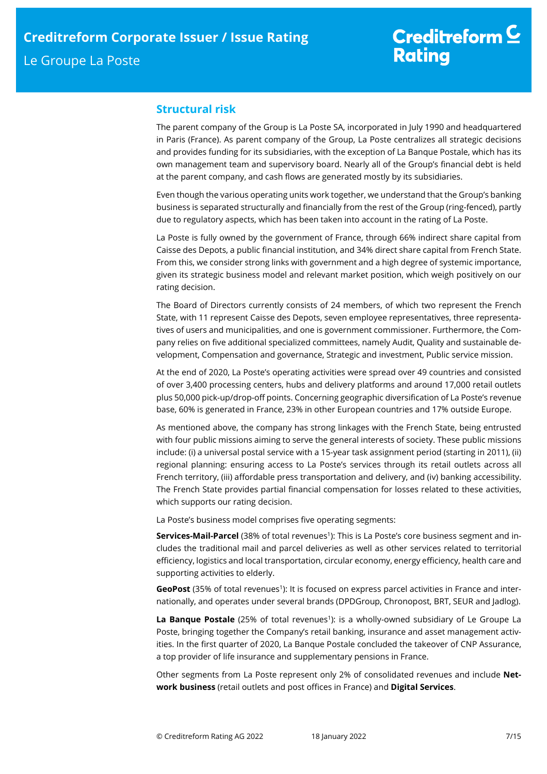## **Structural risk**

The parent company of the Group is La Poste SA, incorporated in July 1990 and headquartered in Paris (France). As parent company of the Group, La Poste centralizes all strategic decisions and provides funding for its subsidiaries, with the exception of La Banque Postale, which has its own management team and supervisory board. Nearly all of the Group's financial debt is held at the parent company, and cash flows are generated mostly by its subsidiaries.

Even though the various operating units work together, we understand that the Group's banking business is separated structurally and financially from the rest of the Group (ring-fenced), partly due to regulatory aspects, which has been taken into account in the rating of La Poste.

La Poste is fully owned by the government of France, through 66% indirect share capital from Caisse des Depots, a public financial institution, and 34% direct share capital from French State. From this, we consider strong links with government and a high degree of systemic importance, given its strategic business model and relevant market position, which weigh positively on our rating decision.

The Board of Directors currently consists of 24 members, of which two represent the French State, with 11 represent Caisse des Depots, seven employee representatives, three representatives of users and municipalities, and one is government commissioner. Furthermore, the Company relies on five additional specialized committees, namely Audit, Quality and sustainable development, Compensation and governance, Strategic and investment, Public service mission.

At the end of 2020, La Poste's operating activities were spread over 49 countries and consisted of over 3,400 processing centers, hubs and delivery platforms and around 17,000 retail outlets plus 50,000 pick-up/drop-off points. Concerning geographic diversification of La Poste's revenue base, 60% is generated in France, 23% in other European countries and 17% outside Europe.

As mentioned above, the company has strong linkages with the French State, being entrusted with four public missions aiming to serve the general interests of society. These public missions include: (i) a universal postal service with a 15-year task assignment period (starting in 2011), (ii) regional planning: ensuring access to La Poste's services through its retail outlets across all French territory, (iii) affordable press transportation and delivery, and (iv) banking accessibility. The French State provides partial financial compensation for losses related to these activities, which supports our rating decision.

La Poste's business model comprises five operating segments:

**Services-Mail-Parcel** (38% of total revenues<sup>1</sup>): This is La Poste's core business segment and includes the traditional mail and parcel deliveries as well as other services related to territorial efficiency, logistics and local transportation, circular economy, energy efficiency, health care and supporting activities to elderly.

GeoPost (35% of total revenues<sup>1</sup>): It is focused on express parcel activities in France and internationally, and operates under several brands (DPDGroup, Chronopost, BRT, SEUR and Jadlog).

La Banque Postale (25% of total revenues<sup>1</sup>): is a wholly-owned subsidiary of Le Groupe La Poste, bringing together the Company's retail banking, insurance and asset management activities. In the first quarter of 2020, La Banque Postale concluded the takeover of CNP Assurance, a top provider of life insurance and supplementary pensions in France.

Other segments from La Poste represent only 2% of consolidated revenues and include **Network business** (retail outlets and post offices in France) and **Digital Services**.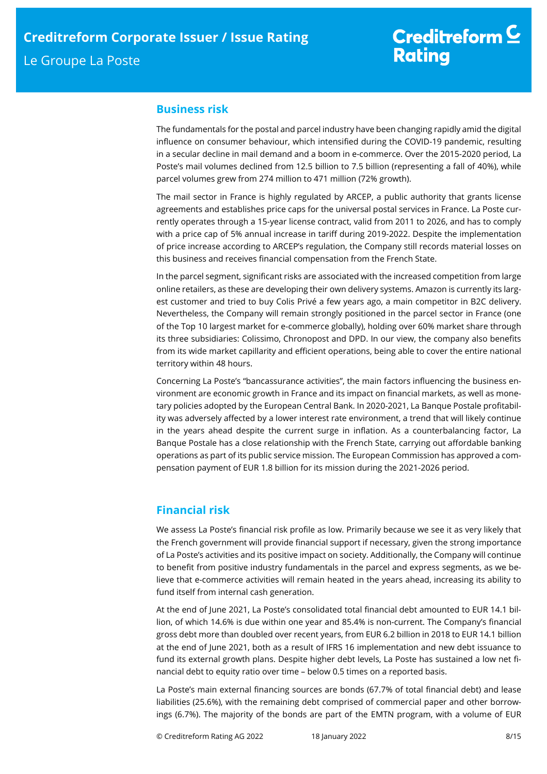## **Business risk**

The fundamentals for the postal and parcel industry have been changing rapidly amid the digital influence on consumer behaviour, which intensified during the COVID-19 pandemic, resulting in a secular decline in mail demand and a boom in e-commerce. Over the 2015-2020 period, La Poste's mail volumes declined from 12.5 billion to 7.5 billion (representing a fall of 40%), while parcel volumes grew from 274 million to 471 million (72% growth).

The mail sector in France is highly regulated by ARCEP, a public authority that grants license agreements and establishes price caps for the universal postal services in France. La Poste currently operates through a 15-year license contract, valid from 2011 to 2026, and has to comply with a price cap of 5% annual increase in tariff during 2019-2022. Despite the implementation of price increase according to ARCEP's regulation, the Company still records material losses on this business and receives financial compensation from the French State.

In the parcel segment, significant risks are associated with the increased competition from large online retailers, as these are developing their own delivery systems. Amazon is currently its largest customer and tried to buy Colis Privé a few years ago, a main competitor in B2C delivery. Nevertheless, the Company will remain strongly positioned in the parcel sector in France (one of the Top 10 largest market for e-commerce globally), holding over 60% market share through its three subsidiaries: Colissimo, Chronopost and DPD. In our view, the company also benefits from its wide market capillarity and efficient operations, being able to cover the entire national territory within 48 hours.

Concerning La Poste's "bancassurance activities", the main factors influencing the business environment are economic growth in France and its impact on financial markets, as well as monetary policies adopted by the European Central Bank. In 2020-2021, La Banque Postale profitability was adversely affected by a lower interest rate environment, a trend that will likely continue in the years ahead despite the current surge in inflation. As a counterbalancing factor, La Banque Postale has a close relationship with the French State, carrying out affordable banking operations as part of its public service mission. The European Commission has approved a compensation payment of EUR 1.8 billion for its mission during the 2021-2026 period.

## **Financial risk**

We assess La Poste's financial risk profile as low. Primarily because we see it as very likely that the French government will provide financial support if necessary, given the strong importance of La Poste's activities and its positive impact on society. Additionally, the Company will continue to benefit from positive industry fundamentals in the parcel and express segments, as we believe that e-commerce activities will remain heated in the years ahead, increasing its ability to fund itself from internal cash generation.

At the end of June 2021, La Poste's consolidated total financial debt amounted to EUR 14.1 billion, of which 14.6% is due within one year and 85.4% is non-current. The Company's financial gross debt more than doubled over recent years, from EUR 6.2 billion in 2018 to EUR 14.1 billion at the end of June 2021, both as a result of IFRS 16 implementation and new debt issuance to fund its external growth plans. Despite higher debt levels, La Poste has sustained a low net financial debt to equity ratio over time – below 0.5 times on a reported basis.

La Poste's main external financing sources are bonds (67.7% of total financial debt) and lease liabilities (25.6%), with the remaining debt comprised of commercial paper and other borrowings (6.7%). The majority of the bonds are part of the EMTN program, with a volume of EUR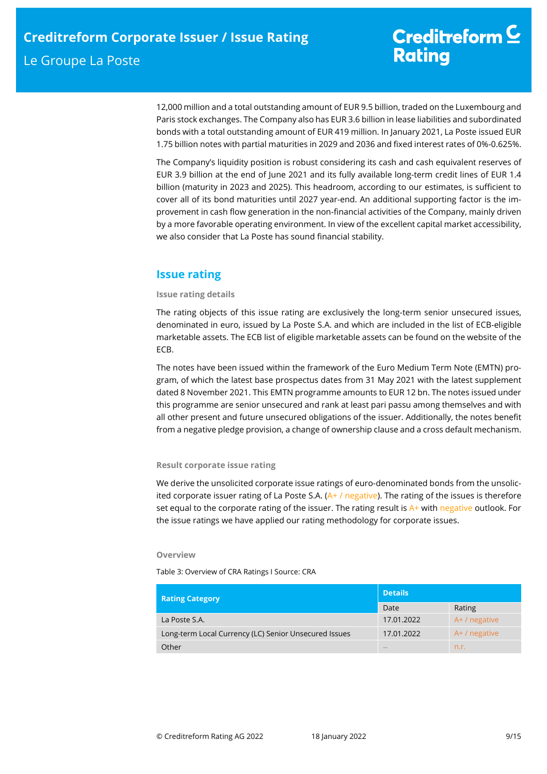12,000 million and a total outstanding amount of EUR 9.5 billion, traded on the Luxembourg and Paris stock exchanges. The Company also has EUR 3.6 billion in lease liabilities and subordinated bonds with a total outstanding amount of EUR 419 million. In January 2021, La Poste issued EUR 1.75 billion notes with partial maturities in 2029 and 2036 and fixed interest rates of 0%-0.625%.

The Company's liquidity position is robust considering its cash and cash equivalent reserves of EUR 3.9 billion at the end of June 2021 and its fully available long-term credit lines of EUR 1.4 billion (maturity in 2023 and 2025). This headroom, according to our estimates, is sufficient to cover all of its bond maturities until 2027 year-end. An additional supporting factor is the improvement in cash flow generation in the non-financial activities of the Company, mainly driven by a more favorable operating environment. In view of the excellent capital market accessibility, we also consider that La Poste has sound financial stability.

## **Issue rating**

## **Issue rating details**

The rating objects of this issue rating are exclusively the long-term senior unsecured issues, denominated in euro, issued by La Poste S.A. and which are included in the list of ECB-eligible marketable assets. The ECB list of eligible marketable assets can be found on the website of the ECB.

The notes have been issued within the framework of the Euro Medium Term Note (EMTN) program, of which the latest base prospectus dates from 31 May 2021 with the latest supplement dated 8 November 2021. This EMTN programme amounts to EUR 12 bn. The notes issued under this programme are senior unsecured and rank at least pari passu among themselves and with all other present and future unsecured obligations of the issuer. Additionally, the notes benefit from a negative pledge provision, a change of ownership clause and a cross default mechanism.

## **Result corporate issue rating**

We derive the unsolicited corporate issue ratings of euro-denominated bonds from the unsolicited corporate issuer rating of La Poste S.A.  $(A+ / \text{negative})$ . The rating of the issues is therefore set equal to the corporate rating of the issuer. The rating result is  $A+$  with negative outlook. For the issue ratings we have applied our rating methodology for corporate issues.

## **Overview**

Table 3: Overview of CRA Ratings I Source: CRA

| <b>Rating Category</b>                                | <b>Details</b> |               |  |
|-------------------------------------------------------|----------------|---------------|--|
|                                                       | Date           | Rating        |  |
| La Poste S.A.                                         | 17.01.2022     | A+ / negative |  |
| Long-term Local Currency (LC) Senior Unsecured Issues | 17.01.2022     | A+ / negative |  |
| Other                                                 | <b>COLOR</b>   | n.r.          |  |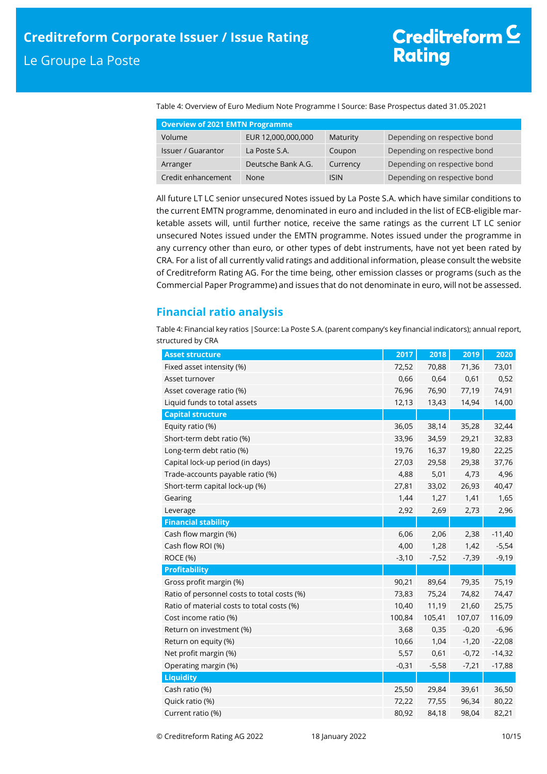Table 4: Overview of Euro Medium Note Programme I Source: Base Prospectus dated 31.05.2021

| <b>Overview of 2021 EMTN Programme</b> |                    |             |                              |  |  |
|----------------------------------------|--------------------|-------------|------------------------------|--|--|
| Volume                                 | EUR 12,000,000,000 | Maturity    | Depending on respective bond |  |  |
| <b>Issuer / Guarantor</b>              | La Poste S.A.      | Coupon      | Depending on respective bond |  |  |
| Arranger                               | Deutsche Bank A.G. | Currency    | Depending on respective bond |  |  |
| Credit enhancement                     | None               | <b>ISIN</b> | Depending on respective bond |  |  |

All future LT LC senior unsecured Notes issued by La Poste S.A. which have similar conditions to the current EMTN programme, denominated in euro and included in the list of ECB-eligible marketable assets will, until further notice, receive the same ratings as the current LT LC senior unsecured Notes issued under the EMTN programme. Notes issued under the programme in any currency other than euro, or other types of debt instruments, have not yet been rated by CRA. For a list of all currently valid ratings and additional information, please consult the website of Creditreform Rating AG. For the time being, other emission classes or programs (such as the Commercial Paper Programme) and issues that do not denominate in euro, will not be assessed.

## **Financial ratio analysis**

Table 4: Financial key ratios |Source: La Poste S.A. (parent company's key financial indicators); annual report, structured by CRA

| <b>Asset structure</b>                      | 2017    | 2018    | 2019    | 2020     |
|---------------------------------------------|---------|---------|---------|----------|
| Fixed asset intensity (%)                   | 72,52   | 70,88   | 71,36   | 73,01    |
| Asset turnover                              | 0,66    | 0,64    | 0,61    | 0,52     |
| Asset coverage ratio (%)                    | 76,96   | 76,90   | 77,19   | 74,91    |
| Liquid funds to total assets                | 12,13   | 13,43   | 14,94   | 14,00    |
| <b>Capital structure</b>                    |         |         |         |          |
| Equity ratio (%)                            | 36,05   | 38,14   | 35,28   | 32,44    |
| Short-term debt ratio (%)                   | 33,96   | 34,59   | 29,21   | 32,83    |
| Long-term debt ratio (%)                    | 19,76   | 16,37   | 19,80   | 22,25    |
| Capital lock-up period (in days)            | 27,03   | 29,58   | 29,38   | 37,76    |
| Trade-accounts payable ratio (%)            | 4,88    | 5,01    | 4,73    | 4,96     |
| Short-term capital lock-up (%)              | 27,81   | 33,02   | 26,93   | 40,47    |
| Gearing                                     | 1,44    | 1,27    | 1,41    | 1,65     |
| Leverage                                    | 2,92    | 2,69    | 2,73    | 2,96     |
| <b>Financial stability</b>                  |         |         |         |          |
| Cash flow margin (%)                        | 6,06    | 2,06    | 2,38    | $-11,40$ |
| Cash flow ROI (%)                           | 4,00    | 1,28    | 1,42    | $-5,54$  |
| ROCE (%)                                    | $-3,10$ | $-7,52$ | $-7,39$ | $-9,19$  |
| <b>Profitability</b>                        |         |         |         |          |
| Gross profit margin (%)                     | 90,21   | 89,64   | 79,35   | 75,19    |
| Ratio of personnel costs to total costs (%) | 73,83   | 75,24   | 74,82   | 74,47    |
| Ratio of material costs to total costs (%)  | 10,40   | 11,19   | 21,60   | 25,75    |
| Cost income ratio (%)                       | 100,84  | 105,41  | 107,07  | 116,09   |
| Return on investment (%)                    | 3,68    | 0,35    | $-0,20$ | $-6,96$  |
| Return on equity (%)                        | 10,66   | 1,04    | $-1,20$ | $-22,08$ |
| Net profit margin (%)                       | 5,57    | 0,61    | $-0,72$ | $-14,32$ |
| Operating margin (%)                        | $-0,31$ | $-5,58$ | $-7,21$ | $-17,88$ |
| <b>Liquidity</b>                            |         |         |         |          |
| Cash ratio (%)                              | 25,50   | 29,84   | 39,61   | 36,50    |
| Quick ratio (%)                             | 72,22   | 77,55   | 96,34   | 80,22    |
| Current ratio (%)                           | 80,92   | 84,18   | 98,04   | 82,21    |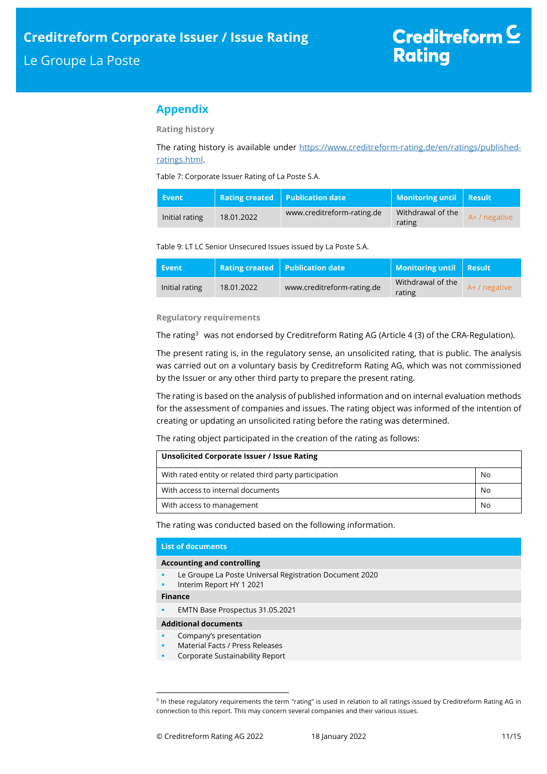## **Appendix**

**Rating history** 

The rating history is available under https://www.creditreform-rating.de/en/ratings/publishedratings.html.

Table 7: Corporate Issuer Rating of La Poste S.A.

| Event          |            | Rating created $\top$ Publication date $\top$ | Monitoring until Result     |               |
|----------------|------------|-----------------------------------------------|-----------------------------|---------------|
| Initial rating | 18.01.2022 | www.creditreform-rating.de                    | Withdrawal of the<br>rating | A+ / negative |

Table 9: LT LC Senior Unsecured Issues issued by La Poste S.A.

| Event          |            | <b>Rating created Publication date</b> | Monitoring until Result     |             |
|----------------|------------|----------------------------------------|-----------------------------|-------------|
| Initial rating | 18.01.2022 | www.creditreform-rating.de             | Withdrawal of the<br>rating | A+/negative |

## **Regulatory requirements**

The rating<sup>3</sup> was not endorsed by Creditreform Rating AG (Article 4 (3) of the CRA-Regulation).

The present rating is, in the regulatory sense, an unsolicited rating, that is public. The analysis was carried out on a voluntary basis by Creditreform Rating AG, which was not commissioned by the Issuer or any other third party to prepare the present rating.

The rating is based on the analysis of published information and on internal evaluation methods for the assessment of companies and issues. The rating object was informed of the intention of creating or updating an unsolicited rating before the rating was determined.

The rating object participated in the creation of the rating as follows:

| Unsolicited Corporate Issuer / Issue Rating            |    |
|--------------------------------------------------------|----|
| With rated entity or related third party participation | No |
| With access to internal documents                      | No |
| With access to management                              | No |

The rating was conducted based on the following information.

### **List of documents**

#### **Accounting and controlling**

- Le Groupe La Poste Universal Registration Document 2020
- Interim Report HY 1 2021

**Finance** 

j

**EMTN Base Prospectus 31.05.2021** 

#### **Additional documents**

- **•** Company's presentation
- Material Facts / Press Releases
- Corporate Sustainability Report

<sup>&</sup>lt;sup>3</sup> In these regulatory requirements the term "rating" is used in relation to all ratings issued by Creditreform Rating AG in connection to this report. This may concern several companies and their various issues.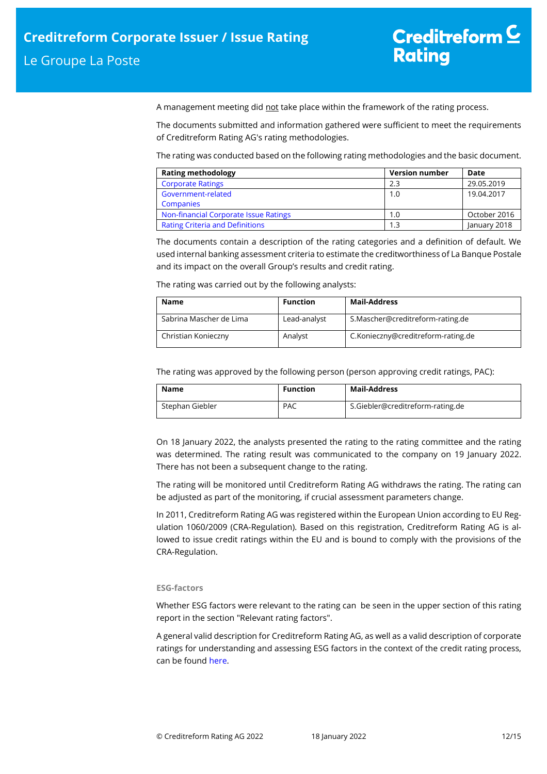A management meeting did not take place within the framework of the rating process.

The documents submitted and information gathered were sufficient to meet the requirements of Creditreform Rating AG's rating methodologies.

The rating was conducted based on the following rating methodologies and the basic document.

| <b>Rating methodology</b>              | <b>Version number</b> | Date         |
|----------------------------------------|-----------------------|--------------|
| <b>Corporate Ratings</b>               | 2.3                   | 29.05.2019   |
| Government-related                     | 1.0                   | 19.04.2017   |
| <b>Companies</b>                       |                       |              |
| Non-financial Corporate Issue Ratings  | 1.0                   | October 2016 |
| <b>Rating Criteria and Definitions</b> |                       | January 2018 |

The documents contain a description of the rating categories and a definition of default. We used internal banking assessment criteria to estimate the creditworthiness of La Banque Postale and its impact on the overall Group's results and credit rating.

The rating was carried out by the following analysts:

| Name                    | <b>Function</b> | Mail-Address                       |
|-------------------------|-----------------|------------------------------------|
| Sabrina Mascher de Lima | Lead-analyst    | S.Mascher@creditreform-rating.de   |
| Christian Konieczny     | Analyst         | C.Konieczny@creditreform-rating.de |

The rating was approved by the following person (person approving credit ratings, PAC):

| Name            | <b>Function</b> | Mail-Address                     |
|-----------------|-----------------|----------------------------------|
| Stephan Giebler | <b>PAC</b>      | S.Giebler@creditreform-rating.de |

On 18 January 2022, the analysts presented the rating to the rating committee and the rating was determined. The rating result was communicated to the company on 19 January 2022. There has not been a subsequent change to the rating.

The rating will be monitored until Creditreform Rating AG withdraws the rating. The rating can be adjusted as part of the monitoring, if crucial assessment parameters change.

In 2011, Creditreform Rating AG was registered within the European Union according to EU Regulation 1060/2009 (CRA-Regulation). Based on this registration, Creditreform Rating AG is allowed to issue credit ratings within the EU and is bound to comply with the provisions of the CRA-Regulation.

## **ESG-factors**

Whether ESG factors were relevant to the rating can be seen in the upper section of this rating report in the section "Relevant rating factors".

A general valid description for Creditreform Rating AG, as well as a valid description of corporate ratings for understanding and assessing ESG factors in the context of the credit rating process, can be found here.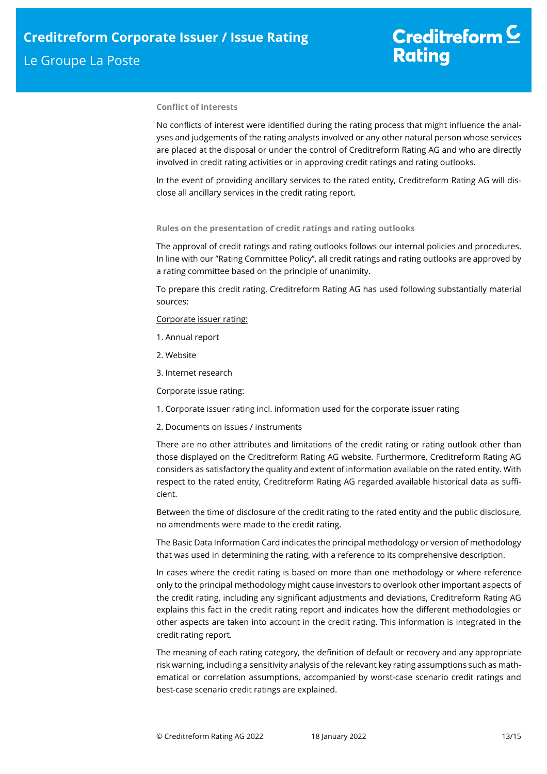## **Conflict of interests**

No conflicts of interest were identified during the rating process that might influence the analyses and judgements of the rating analysts involved or any other natural person whose services are placed at the disposal or under the control of Creditreform Rating AG and who are directly involved in credit rating activities or in approving credit ratings and rating outlooks.

In the event of providing ancillary services to the rated entity, Creditreform Rating AG will disclose all ancillary services in the credit rating report.

## **Rules on the presentation of credit ratings and rating outlooks**

The approval of credit ratings and rating outlooks follows our internal policies and procedures. In line with our "Rating Committee Policy", all credit ratings and rating outlooks are approved by a rating committee based on the principle of unanimity.

To prepare this credit rating, Creditreform Rating AG has used following substantially material sources:

### Corporate issuer rating:

- 1. Annual report
- 2. Website
- 3. Internet research

## Corporate issue rating:

- 1. Corporate issuer rating incl. information used for the corporate issuer rating
- 2. Documents on issues / instruments

There are no other attributes and limitations of the credit rating or rating outlook other than those displayed on the Creditreform Rating AG website. Furthermore, Creditreform Rating AG considers as satisfactory the quality and extent of information available on the rated entity. With respect to the rated entity, Creditreform Rating AG regarded available historical data as sufficient.

Between the time of disclosure of the credit rating to the rated entity and the public disclosure, no amendments were made to the credit rating.

The Basic Data Information Card indicates the principal methodology or version of methodology that was used in determining the rating, with a reference to its comprehensive description.

In cases where the credit rating is based on more than one methodology or where reference only to the principal methodology might cause investors to overlook other important aspects of the credit rating, including any significant adjustments and deviations, Creditreform Rating AG explains this fact in the credit rating report and indicates how the different methodologies or other aspects are taken into account in the credit rating. This information is integrated in the credit rating report.

The meaning of each rating category, the definition of default or recovery and any appropriate risk warning, including a sensitivity analysis of the relevant key rating assumptions such as mathematical or correlation assumptions, accompanied by worst-case scenario credit ratings and best-case scenario credit ratings are explained.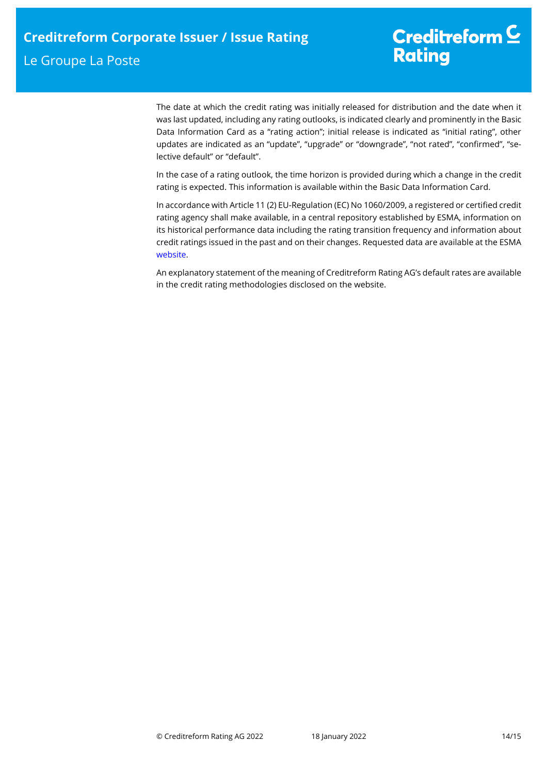The date at which the credit rating was initially released for distribution and the date when it was last updated, including any rating outlooks, is indicated clearly and prominently in the Basic Data Information Card as a "rating action"; initial release is indicated as "initial rating", other updates are indicated as an "update", "upgrade" or "downgrade", "not rated", "confirmed", "selective default" or "default".

In the case of a rating outlook, the time horizon is provided during which a change in the credit rating is expected. This information is available within the Basic Data Information Card.

In accordance with Article 11 (2) EU-Regulation (EC) No 1060/2009, a registered or certified credit rating agency shall make available, in a central repository established by ESMA, information on its historical performance data including the rating transition frequency and information about credit ratings issued in the past and on their changes. Requested data are available at the ESMA website.

An explanatory statement of the meaning of Creditreform Rating AG's default rates are available in the credit rating methodologies disclosed on the website.